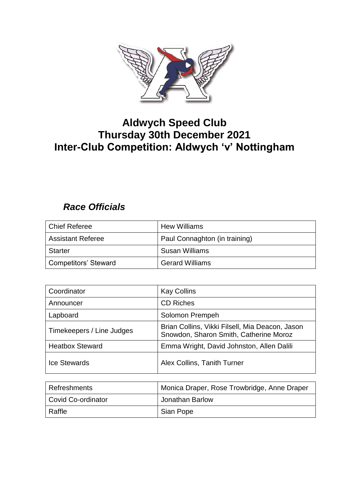

# **Aldwych Speed Club Thursday 30th December 2021 Inter-Club Competition: Aldwych 'v' Nottingham**

### *Race Officials*

| <b>Chief Referee</b>        | <b>Hew Williams</b>           |
|-----------------------------|-------------------------------|
| <b>Assistant Referee</b>    | Paul Connaghton (in training) |
| <b>Starter</b>              | Susan Williams                |
| <b>Competitors' Steward</b> | <b>Gerard Williams</b>        |

| Coordinator               | <b>Kay Collins</b>                                                                        |
|---------------------------|-------------------------------------------------------------------------------------------|
| Announcer                 | <b>CD Riches</b>                                                                          |
| Lapboard                  | Solomon Prempeh                                                                           |
| Timekeepers / Line Judges | Brian Collins, Vikki Filsell, Mia Deacon, Jason<br>Snowdon, Sharon Smith, Catherine Moroz |
| <b>Heatbox Steward</b>    | Emma Wright, David Johnston, Allen Dalili                                                 |
| <b>Ice Stewards</b>       | Alex Collins, Tanith Turner                                                               |

| Refreshments       | Monica Draper, Rose Trowbridge, Anne Draper |
|--------------------|---------------------------------------------|
| Covid Co-ordinator | Jonathan Barlow                             |
| Raffle             | Sian Pope                                   |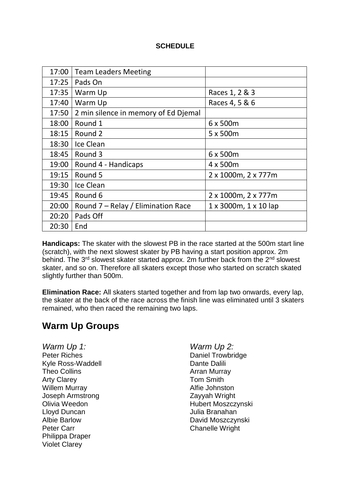#### **SCHEDULE**

| 17:00 | <b>Team Leaders Meeting</b>          |                       |
|-------|--------------------------------------|-----------------------|
| 17:25 | Pads On                              |                       |
| 17:35 | Warm Up                              | Races 1, 2 & 3        |
| 17:40 | Warm Up                              | Races 4, 5 & 6        |
| 17:50 | 2 min silence in memory of Ed Djemal |                       |
| 18:00 | Round 1                              | 6 x 500m              |
| 18:15 | Round 2                              | 5 x 500m              |
| 18:30 | Ice Clean                            |                       |
| 18:45 | Round 3                              | 6 x 500m              |
| 19:00 | Round 4 - Handicaps                  | 4 x 500m              |
| 19:15 | Round 5                              | 2 x 1000m, 2 x 777m   |
| 19:30 | Ice Clean                            |                       |
| 19:45 | Round 6                              | 2 x 1000m, 2 x 777m   |
| 20:00 | Round 7 - Relay / Elimination Race   | 1 x 3000m, 1 x 10 lap |
| 20:20 | Pads Off                             |                       |
| 20:30 | End                                  |                       |

**Handicaps:** The skater with the slowest PB in the race started at the 500m start line (scratch), with the next slowest skater by PB having a start position approx. 2m behind. The 3<sup>rd</sup> slowest skater started approx. 2m further back from the 2<sup>nd</sup> slowest skater, and so on. Therefore all skaters except those who started on scratch skated slightly further than 500m.

**Elimination Race:** All skaters started together and from lap two onwards, every lap, the skater at the back of the race across the finish line was eliminated until 3 skaters remained, who then raced the remaining two laps.

## **Warm Up Groups**

*Warm Up 1: Warm Up 2:* Peter Riches **Daniel Trowbridge** Kyle Ross-Waddell **Dante Dalili** Dante Dalili Theo Collins **Arran Murray** Arty Clarey **Tom Smith** Willem Murray **Alfie** Johnston Joseph Armstrong Zayyah Wright Lloyd Duncan Julia Branahan Peter Carr Carr Chanelle Wright Philippa Draper Violet Clarey

Olivia Weedon **Hubert Moszczynski** David Moszczynski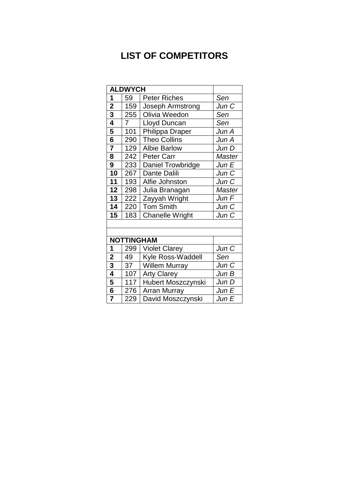## **LIST OF COMPETITORS**

|                         | <b>ALDWYCH</b> |                                   |               |  |  |  |  |  |  |
|-------------------------|----------------|-----------------------------------|---------------|--|--|--|--|--|--|
| 1                       | 59             | <b>Peter Riches</b>               | Sen           |  |  |  |  |  |  |
| $\overline{2}$          | 159            | Jun C                             |               |  |  |  |  |  |  |
| $\overline{\mathbf{3}}$ | 255            | Joseph Armstrong<br>Olivia Weedon |               |  |  |  |  |  |  |
| 4                       | 7              | Sen                               |               |  |  |  |  |  |  |
| 5                       | 101            | Philippa Draper                   | Jun A         |  |  |  |  |  |  |
| $6\phantom{1}6$         | 290            | <b>Theo Collins</b>               | Jun A         |  |  |  |  |  |  |
| $\overline{7}$          | 129            | <b>Albie Barlow</b>               | Jun D         |  |  |  |  |  |  |
| 8                       | 242            | <b>Peter Carr</b>                 | Master        |  |  |  |  |  |  |
| 9                       | 233            | Daniel Trowbridge                 | Jun E         |  |  |  |  |  |  |
| 10                      | 267            | Dante Dalili                      | Jun C         |  |  |  |  |  |  |
| 11                      | 193            | Alfie Johnston                    | Jun C         |  |  |  |  |  |  |
| 12                      | 298            | Julia Branagan                    | <b>Master</b> |  |  |  |  |  |  |
| 13                      | 222            | Jun F                             |               |  |  |  |  |  |  |
| 14                      | 220            | <b>Tom Smith</b>                  | Jun C         |  |  |  |  |  |  |
| 15                      | 183            | <b>Chanelle Wright</b>            | Jun C         |  |  |  |  |  |  |
|                         |                |                                   |               |  |  |  |  |  |  |
|                         |                |                                   |               |  |  |  |  |  |  |
|                         |                | <b>NOTTINGHAM</b>                 |               |  |  |  |  |  |  |
| 1                       | 299            | <b>Violet Clarey</b>              | Jun C         |  |  |  |  |  |  |
| $\overline{2}$          | 49             | Kyle Ross-Waddell                 | Sen           |  |  |  |  |  |  |
| 3                       | 37             | <b>Willem Murray</b>              | Jun C         |  |  |  |  |  |  |
| 4                       | 107            | <b>Arty Clarey</b>                | Jun B         |  |  |  |  |  |  |
| 5                       | 117            | <b>Hubert Moszczynski</b>         | Jun D         |  |  |  |  |  |  |
| 6                       | 276            | <b>Arran Murray</b>               | Jun E         |  |  |  |  |  |  |
| $\overline{7}$          | 229            | David Moszczynski                 | Jun E         |  |  |  |  |  |  |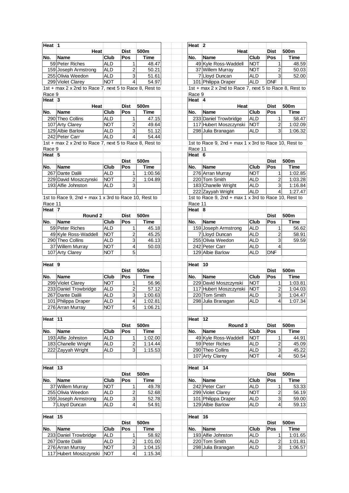| Heat <sup>1</sup>  |                                                        |             |                           |             | Heat 2     |                                                        |             |                         |             |
|--------------------|--------------------------------------------------------|-------------|---------------------------|-------------|------------|--------------------------------------------------------|-------------|-------------------------|-------------|
|                    | Heat                                                   |             | <b>Dist</b>               | 500m        |            | Heat                                                   |             | <b>Dist</b>             | 500m        |
| No.                | <b>Name</b>                                            | Club        | Pos                       | <b>Time</b> | No.        | <b>Name</b>                                            | <b>Club</b> | Pos                     | <b>Time</b> |
|                    | 59 Peter Riches                                        | <b>ALD</b>  | $\mathbf{1}$              | 48.47       |            | 49 Kyle Ross-Waddell                                   | <b>NOT</b>  | 1                       | 48.59       |
|                    | 159 Joseph Armstrong                                   | <b>ALD</b>  | $\overline{c}$            | 50.21       |            | 37 Willem Murray                                       | <b>NOT</b>  | $\overline{c}$          | 50.03       |
|                    | 255 Olivia Weedon                                      | <b>ALD</b>  | 3                         | 51.61       |            | 7 Lloyd Duncan                                         | <b>ALD</b>  | 3                       | 52.00       |
|                    | 299 Violet Clarey                                      | <b>NOT</b>  | $\overline{4}$            | 54.97       |            | 101 Philippa Draper                                    | <b>ALD</b>  | <b>DNF</b>              |             |
|                    | 1st + max 2 x 2nd to Race 7, next 5 to Race 8, Rest to |             |                           |             |            | 1st + max 2 x 2nd to Race 7, next 5 to Race 8, Rest to |             |                         |             |
| Race 9             |                                                        |             |                           |             | Race 9     |                                                        |             |                         |             |
| Heat $ 3 $         |                                                        |             |                           |             | Heat $ 4$  |                                                        |             |                         |             |
|                    | Heat                                                   |             | <b>Dist</b>               | 500m        |            | Heat                                                   |             | <b>Dist</b>             | 500m        |
| No.                | <b>Name</b>                                            | Club        | Pos                       | <b>Time</b> | No.        | <b>Name</b>                                            | Club        | Pos                     | <b>Time</b> |
|                    | 290 Theo Collins                                       | <b>ALD</b>  | 1                         | 47.15       |            | 233 Daniel Trowbridge                                  | <b>ALD</b>  | 1                       | 58.47       |
|                    | 107 Arty Clarey                                        | <b>NOT</b>  | $\overline{2}$            | 49.64       |            | 117 Hubert Moszczynski                                 | <b>NOT</b>  | $\overline{c}$          | 1:02.09     |
|                    | 129 Albie Barlow                                       | <b>ALD</b>  | $\mathsf 3$               | 51.12       |            | 298 Julia Branagan                                     | <b>ALD</b>  | 3                       | 1:06.32     |
|                    | 242 Peter Carr                                         | <b>ALD</b>  | $\overline{4}$            | 54.44       |            |                                                        |             |                         |             |
|                    | 1st + max 2 x 2nd to Race 7, next 5 to Race 8, Rest to |             |                           |             |            |                                                        |             |                         |             |
|                    |                                                        |             |                           |             |            | 1st to Race 9, 2nd + max 1 x 3rd to Race 10, Rest to   |             |                         |             |
| Race 9             |                                                        |             |                           |             | Race 11    |                                                        |             |                         |             |
| Heat 5             |                                                        |             |                           |             | Heat $6$   |                                                        |             |                         |             |
|                    |                                                        |             | <b>Dist</b>               | 500m        |            |                                                        |             | <b>Dist</b>             | 500m        |
| No.                | <b>Name</b>                                            | Club        | Pos                       | <b>Time</b> | No.        | <b>Name</b>                                            | <b>Club</b> | Pos                     | <b>Time</b> |
|                    | 267 Dante Dalili                                       | <b>ALD</b>  | $\mathbf{1}$              | 1:00.56     |            | 276 Arran Murray                                       | <b>NOT</b>  | 1                       | 1:02.85     |
|                    | 229 David Moszczynski                                  | <b>NOT</b>  | $\boldsymbol{2}$          | 1:04.89     |            | 220 Tom Smith                                          | <b>ALD</b>  | 2                       | 1:03.28     |
|                    | 193 Alfie Johnston                                     | ALD         | 3                         |             |            | 183 Chanelle Wright                                    | <b>ALD</b>  | 3                       | 1:16.84     |
|                    |                                                        |             |                           |             |            | 222 Zayyah Wright                                      | <b>ALD</b>  | 4                       | 1:27.47     |
|                    | 1st to Race 9, 2nd + max 1 x 3rd to Race 10, Rest to   |             |                           |             |            | 1st to Race 9, 2nd + max 1 x 3rd to Race 10, Rest to   |             |                         |             |
| Race 11            |                                                        |             |                           |             | Race 11    |                                                        |             |                         |             |
| Heat 7             |                                                        |             |                           |             | Heat $ 8 $ |                                                        |             |                         |             |
|                    | Round 2                                                |             | <b>Dist</b>               | 500m        |            |                                                        |             | <b>Dist</b>             | 500m        |
| No.                | <b>Name</b>                                            | <b>Club</b> | Pos                       | <b>Time</b> | No.        | <b>Name</b>                                            | Club        | Pos                     | <b>Time</b> |
|                    | 59 Peter Riches                                        | <b>ALD</b>  | 1                         | 45.18       |            | 159 Joseph Armstrong                                   | <b>ALD</b>  | 1                       | 56.62       |
|                    | 49 Kyle Ross-Waddell                                   | <b>NOT</b>  | $\overline{\mathbf{c}}$   | 45.25       |            | 7 Lloyd Duncan                                         | <b>ALD</b>  | $\overline{c}$          | 58.91       |
|                    | 290 Theo Collins                                       | <b>ALD</b>  | $\mathsf 3$               | 46.13       |            | 255 Olivia Weedon                                      | <b>ALD</b>  | 3                       | 59.59       |
|                    | 37 Willem Murray                                       | <b>NOT</b>  | $\overline{\mathbf{4}}$   | 50.03       |            | 242 Peter Carr                                         | <b>ALD</b>  | 4                       |             |
|                    | 107 Arty Clarey                                        | <b>NOT</b>  | 5                         |             |            | 129 Albie Barlow                                       | <b>ALD</b>  | DNF                     |             |
|                    |                                                        |             |                           |             |            |                                                        |             |                         |             |
| Heat 9             |                                                        |             |                           |             | Heat 10    |                                                        |             |                         |             |
|                    |                                                        |             | <b>Dist</b>               | 500m        |            |                                                        |             | <b>Dist</b>             | 500m        |
| No.                | <b>Name</b>                                            | <b>Club</b> | Pos                       | <b>Time</b> | No.        | <b>Name</b>                                            | <b>Club</b> | Pos                     | Time        |
|                    | 299 Violet Clarey                                      | <b>NOT</b>  | 1                         | 56.96       |            | 229 David Moszczynski                                  | <b>NOT</b>  | 1                       | 1:03.81     |
|                    | 233 Daniel Trowbridge                                  | <b>ALD</b>  | $\overline{\mathbf{c}}$   | 57.12       |            | 117 Hubert Moszczynski                                 | <b>NOT</b>  | 2                       | 1:04.03     |
|                    | 267 Dante Dalili                                       | <b>ALD</b>  | 3                         | 1:00.63     |            | 220 Tom Smith                                          | <b>ALD</b>  | 3                       | 1:04.47     |
|                    | 101 Philippa Draper                                    | <b>ALD</b>  | $\overline{\mathbf{4}}$   | 1:02.81     |            | 298 Julia Branagan                                     | <b>ALD</b>  | $\overline{\mathbf{4}}$ | 1:07.34     |
|                    | 276 Arran Murray                                       | <b>NOT</b>  | 5 <sup>1</sup>            | 1:06.21     |            |                                                        |             |                         |             |
|                    |                                                        |             |                           |             |            |                                                        |             |                         |             |
| Heat 11            |                                                        |             |                           |             | Heat 12    |                                                        |             |                         |             |
|                    |                                                        |             | <b>Dist</b>               | 500m        |            | Round 3                                                |             | <b>Dist</b>             | 500m        |
| No.                | <b>Name</b>                                            | Club        | Pos                       | <b>Time</b> | No.        | <b>Name</b>                                            | Club        | Pos                     | <b>Time</b> |
|                    | 193 Alfie Johnston                                     | <b>ALD</b>  | 1                         | 1:02.00     |            | 49 Kyle Ross-Waddell                                   | <b>NOT</b>  | 1                       | 44.91       |
|                    | 183 Chanelle Wright                                    | <b>ALD</b>  | $\overline{2}$            | 1:14.44     |            | 59 Peter Riches                                        | <b>ALD</b>  | $\boldsymbol{2}$        | 45.09       |
|                    | 222 Zayyah Wright                                      | <b>ALD</b>  | 3                         | 1:15.53     |            | 290 Theo Collins                                       | <b>ALD</b>  | 3                       | 45.22       |
|                    |                                                        |             |                           |             |            | 107 Arty Clarey                                        | <b>NOT</b>  | 4                       | 50.54       |
|                    |                                                        |             |                           |             |            |                                                        |             |                         |             |
| Heat <sup>13</sup> |                                                        |             |                           |             | Heat 14    |                                                        |             |                         |             |
|                    |                                                        |             | <b>Dist</b>               | 500m        |            |                                                        |             | <b>Dist</b>             | 500m        |
| No.                | <b>Name</b>                                            | Club        | Pos                       | <b>Time</b> | No.        | <b>Name</b>                                            | Club        | Pos                     | Time        |
|                    | 37 Willem Murray                                       | <b>NOT</b>  | 1                         | 49.78       |            | 242 Peter Carr                                         | <b>ALD</b>  | 1                       | 53.33       |
|                    | 255 Olivia Weedon                                      | <b>ALD</b>  | $\overline{2}$            | 52.68       |            | 299 Violet Clarey                                      | <b>NOT</b>  | $\overline{\mathbf{c}}$ | 56.19       |
|                    | 159 Joseph Armstrong                                   | <b>ALD</b>  | $\ensuremath{\mathsf{3}}$ | 52.78       |            | 101 Philippa Draper                                    | <b>ALD</b>  | $\mathbf{3}$            | 59.00       |
|                    | 7 Lloyd Duncan                                         | <b>ALD</b>  | $\overline{4}$            | 54.91       |            | 129 Albie Barlow                                       | <b>ALD</b>  | 4                       | 59.13       |
|                    |                                                        |             |                           |             |            |                                                        |             |                         |             |
| Heat $15$          |                                                        |             |                           |             | Heat 16    |                                                        |             |                         |             |
|                    |                                                        |             | <b>Dist</b>               | 500m        |            |                                                        |             | <b>Dist</b>             | 500m        |
| No.                | <b>Name</b>                                            | Club        | Pos                       | Time        | No.        | <b>Name</b>                                            | Club        | Pos                     | <b>Time</b> |
|                    | 233 Daniel Trowbridge                                  | ALD         | 1                         | 58.92       |            | 193 Alfie Johnston                                     | <b>ALD</b>  | 1                       | 1:01.65     |
|                    | 267 Dante Dalili                                       | <b>ALD</b>  | 2                         | 1:01.00     |            | 220 Tom Smith                                          | <b>ALD</b>  | 2                       | 1:01.81     |
|                    | 276 Arran Murray                                       | <b>NOT</b>  | $\mathsf 3$               | 1:04.15     |            | 298 Julia Branagan                                     | <b>ALD</b>  | $\mathbf{3}$            | 1:06.57     |
|                    | 117 Hubert Moszczynski                                 | <b>NOT</b>  | $\overline{\mathbf{4}}$   | 1:15.34     |            |                                                        |             |                         |             |
|                    |                                                        |             |                           |             |            |                                                        |             |                         |             |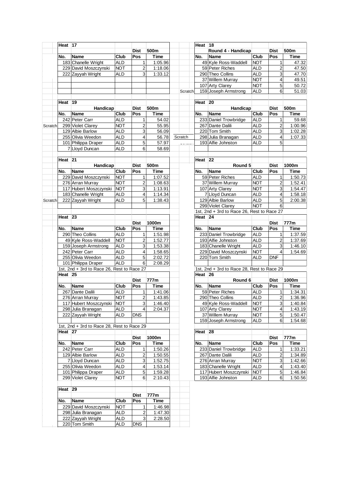|         | Heat 17     |                                                                   |                   |                         |             |  |         |  | Heat $18$       |                                            |                          |                |             |
|---------|-------------|-------------------------------------------------------------------|-------------------|-------------------------|-------------|--|---------|--|-----------------|--------------------------------------------|--------------------------|----------------|-------------|
|         |             |                                                                   |                   | <b>Dist</b>             | 500m        |  |         |  |                 | Round 4 - Handicap                         |                          | <b>Dist</b>    | 500m        |
|         | No.         | <b>Name</b>                                                       | Club              | Pos                     | Time        |  |         |  | No.             | <b>Name</b>                                | Club                     | Pos            | Time        |
|         |             | 183 Chanelle Wright                                               | <b>ALD</b>        | $\mathbf{1}$            | 1:05.96     |  |         |  |                 | 49 Kyle Ross-Waddell                       | <b>NOT</b>               | 1              | 47.32       |
|         |             | 229 David Moszczynski                                             | <b>NOT</b>        | $\overline{2}$          | 1:18.06     |  |         |  |                 | 59 Peter Riches                            | ALD                      | 2              | 47.50       |
|         |             | 222 Zayyah Wright                                                 | ALD               | 3                       | 1:33.12     |  |         |  |                 | 290 Theo Collins                           | <b>ALD</b>               | 3              | 47.70       |
|         |             |                                                                   |                   |                         |             |  |         |  |                 | 37 Willem Murray                           | <b>NOT</b>               | 4              | 49.51       |
|         |             |                                                                   |                   |                         |             |  |         |  |                 | 107 Arty Clarey                            | <b>NOT</b>               | 5              | 50.72       |
|         |             |                                                                   |                   |                         |             |  | Scratch |  |                 | 159 Joseph Armstrong                       | <b>ALD</b>               | 6              | 51.03       |
|         |             |                                                                   |                   |                         |             |  |         |  |                 |                                            |                          |                |             |
|         | Heat 19     |                                                                   |                   |                         |             |  |         |  | Heat $ 20$      |                                            |                          |                |             |
|         |             | Handicap                                                          |                   | <b>Dist</b>             | 500m        |  |         |  |                 | Handicap                                   |                          | <b>Dist</b>    | 500m        |
|         | No.         | <b>Name</b>                                                       | Club              | Pos                     | Time        |  |         |  | No.             | <b>Name</b>                                | Club                     | Pos            | Time        |
|         |             | 242 Peter Carr                                                    | <b>ALD</b>        | 1                       | 54.02       |  |         |  |                 | 233 Daniel Trowbridge                      | ALD                      | 1              | 59.68       |
| Scratch |             | 299 Violet Clarey                                                 | <b>NOT</b>        | $\overline{a}$          | 55.95       |  |         |  |                 | 267 Dante Dalili                           | <b>ALD</b>               | 2              | 1:00.96     |
|         |             | 129 Albie Barlow                                                  | <b>ALD</b>        | 3                       | 56.09       |  |         |  |                 | 220 Tom Smith                              | <b>ALD</b>               | 3              | 1:02.28     |
|         |             | 255 Olivia Weedon                                                 | <b>ALD</b>        | $\overline{\mathbf{4}}$ | 56.78       |  | Scratch |  |                 | 298 Julia Branagan                         | <b>ALD</b>               | 4              | 1:07.33     |
|         |             | 101 Philippa Draper                                               | ALD               | 5                       | 57.97       |  |         |  |                 | 193 Alfie Johnston                         | <b>ALD</b>               | 5              |             |
|         |             | 7 Lloyd Duncan                                                    | <b>ALD</b>        | 6                       | 58.69       |  |         |  |                 |                                            |                          |                |             |
|         |             |                                                                   |                   |                         |             |  |         |  |                 |                                            |                          |                |             |
|         | Heat 21     |                                                                   |                   |                         |             |  |         |  | Heat 22         |                                            |                          |                |             |
|         |             | Handicap                                                          |                   | <b>Dist</b>             | 500m        |  |         |  |                 | Round 5                                    |                          | <b>Dist</b>    | 1000m       |
|         | No.         | <b>Name</b>                                                       | Club              | Pos                     | Time        |  |         |  | No.             | Name                                       | Club                     | Pos            | <b>Time</b> |
|         |             | 229 David Moszczynski                                             | <b>NOT</b>        | $\mathbf{1}$            | 1:07.52     |  |         |  |                 | 59 Peter Riches                            | <b>ALD</b>               | 1              | 1:50.73     |
|         |             | 276 Arran Murray                                                  | <b>NOT</b>        | $\overline{a}$          | 1:08.63     |  |         |  |                 | 37 Willem Murray                           | <b>NOT</b>               | 2              | 1:52.41     |
|         |             | 117 Hubert Moszczynski                                            | <b>NOT</b>        | 3                       | 1:13.91     |  |         |  | 107 Arty Clarey | <b>NOT</b>                                 | 3                        | 1:54.47        |             |
|         |             | 183 Chanelle Wright                                               | <b>ALD</b>        | $\overline{\mathbf{4}}$ | 1:14.34     |  |         |  |                 | 7 Lloyd Duncan                             | <b>ALD</b>               | 4              | 1:58.18     |
| Scratch |             | 222 Zayyah Wright                                                 | ALD               | 5                       | 1:38.43     |  |         |  |                 | 129 Albie Barlow                           | <b>ALD</b>               | 5              | 2:00.38     |
|         |             |                                                                   |                   |                         |             |  |         |  |                 | 299 Violet Clarey                          | <b>NOT</b>               | 6              |             |
|         |             |                                                                   |                   |                         |             |  |         |  |                 | 1st, 2nd + 3rd to Race 26, Rest to Race 27 |                          |                |             |
|         | Heat $ 23 $ |                                                                   |                   |                         |             |  |         |  | Heat 24         |                                            |                          |                |             |
|         |             |                                                                   |                   | <b>Dist</b>             | 1000m       |  |         |  |                 |                                            |                          | <b>Dist</b>    | 777m        |
|         | No.         | <b>Name</b>                                                       | Club              | Pos                     | Time        |  |         |  | No.             | <b>Name</b>                                | Club                     | Pos            | Time        |
|         |             | 290 Theo Collins                                                  | ALD               | $\mathbf{1}$            | 1:51.98     |  |         |  |                 | 233 Daniel Trowbridge                      | <b>ALD</b>               | 1              | 1:37.59     |
|         |             | 49 Kyle Ross-Waddell                                              | <b>NOT</b>        | $\overline{c}$          | 1:52.77     |  |         |  |                 | 193 Alfie Johnston                         | <b>ALD</b>               | 2              | 1:37.69     |
|         |             | 159 Joseph Armstrong                                              | <b>ALD</b>        |                         | 1:53.38     |  |         |  |                 | 183 Chanelle Wright                        | <b>ALD</b>               |                | 1:46.10     |
|         |             | 242 Peter Carr                                                    |                   | 3                       | 1:58.65     |  |         |  |                 |                                            |                          | 3<br>4         | 1:54.69     |
|         |             | 255 Olivia Weedon                                                 | ALD<br><b>ALD</b> | $\overline{4}$<br>5     | 2:02.72     |  |         |  |                 | 229 David Moszczynski<br>220 Tom Smith     | <b>NOT</b><br><b>ALD</b> | <b>DNF</b>     |             |
|         |             |                                                                   |                   | 6                       | 2:08.29     |  |         |  |                 |                                            |                          |                |             |
|         |             | 101 Philippa Draper<br>1st, 2nd + 3rd to Race 26, Rest to Race 27 | <b>ALD</b>        |                         |             |  |         |  |                 | 1st, 2nd + 3rd to Race 28, Rest to Race 29 |                          |                |             |
|         | Heat 25     |                                                                   |                   |                         |             |  |         |  | Heat $ 26$      |                                            |                          |                |             |
|         |             |                                                                   |                   | Dist                    | 777m        |  |         |  |                 | Round 6                                    |                          | <b>Dist</b>    | 1000m       |
|         |             | <b>Name</b>                                                       | Club              | Pos                     | Time        |  |         |  | No.             | <b>Name</b>                                | Club                     | Pos            | Time        |
|         | No.         |                                                                   |                   |                         |             |  |         |  |                 |                                            |                          |                |             |
|         |             | 267 Dante Dalili                                                  | <b>ALD</b>        | 1                       | 1:41.06     |  |         |  |                 | 59 Peter Riches                            | <b>ALD</b><br><b>ALD</b> | 1              | 1:34.31     |
|         |             | 276 Arran Murray                                                  | <b>NOT</b>        | $\overline{2}$          | 1:43.85     |  |         |  |                 | 290 Theo Collins                           |                          | $\overline{c}$ | 1:36.96     |
|         |             | 117 Hubert Moszczynski NOT                                        |                   | $\overline{3}$          | 1:46.40     |  |         |  |                 | 49 Kyle Ross-Waddell                       | <b>NOT</b>               | $\mathsf{a}$   | 1:40.84     |
|         |             | 298 Julia Branagan                                                | <b>ALD</b>        | $\vert$                 | 2:04.37     |  |         |  |                 | 107 Arty Clarey                            | <b>NOT</b>               | 4              | 1:43.19     |
|         |             | 222 Zayyah Wright                                                 | ALD               | <b>DNS</b>              |             |  |         |  |                 | 37 Willem Murray                           | <b>NOT</b>               | 5              | 1:50.47     |
|         |             |                                                                   |                   |                         |             |  |         |  |                 | 159 Joseph Armstrong                       | ALD                      | 6 <sup>1</sup> | 1:54.68     |
|         |             | 1st, 2nd + 3rd to Race 28, Rest to Race 29                        |                   |                         |             |  |         |  |                 |                                            |                          |                |             |
|         | Heat 27     |                                                                   |                   |                         |             |  |         |  | Heat 28         |                                            |                          |                |             |
|         |             |                                                                   |                   | <b>Dist</b>             | 1000m       |  |         |  |                 |                                            |                          | <b>Dist</b>    | 777m        |
|         | No.         | <b>Name</b>                                                       | Club              | Pos                     | <b>Time</b> |  |         |  | No.             | Name                                       | Club                     | Pos            | Time        |
|         |             | 242 Peter Carr                                                    | ALD               | 1                       | 1:50.26     |  |         |  |                 | 233 Daniel Trowbridge                      | <b>ALD</b>               | 1              | 1:33.21     |
|         |             | 129 Albie Barlow                                                  | ALD               | $\overline{c}$          | 1:50.55     |  |         |  |                 | 267 Dante Dalili                           | ALD                      | 2              | 1:34.89     |
|         |             | 7 Lloyd Duncan                                                    | ALD               | 3                       | 1:52.75     |  |         |  |                 | 276 Arran Murray                           | <b>NOT</b>               | 3              | 1:42.66     |
|         |             | 255 Olivia Weedon                                                 | ALD               | $\overline{4}$          | 1:53.14     |  |         |  |                 | 183 Chanelle Wright                        | <b>ALD</b>               | 4              | 1:43.40     |
|         |             | 101 Philippa Draper                                               | ALD               | 5 <sub>l</sub>          | 1:59.28     |  |         |  |                 | 117 Hubert Moszczynski                     | <b>NOT</b>               | 5              | 1:46.84     |
|         |             | 299 Violet Clarey                                                 | <b>NOT</b>        | 6                       | 2:10.43     |  |         |  |                 | 193 Alfie Johnston                         | <b>ALD</b>               | 6 <sup>1</sup> | 1:50.56     |
|         |             |                                                                   |                   |                         |             |  |         |  |                 |                                            |                          |                |             |
|         | Heat $ 29 $ |                                                                   |                   |                         |             |  |         |  |                 |                                            |                          |                |             |
|         |             |                                                                   |                   | <b>Dist</b>             | 777m        |  |         |  |                 |                                            |                          |                |             |
|         | No.         | <b>Name</b>                                                       | Club              | Pos                     | Time        |  |         |  |                 |                                            |                          |                |             |
|         |             | 229 David Moszczynski                                             | <b>NOT</b>        | 1                       | 1:46.98     |  |         |  |                 |                                            |                          |                |             |
|         |             | 298 Julia Branagan                                                | <b>ALD</b>        | $\overline{\mathbf{c}}$ | 1:47.30     |  |         |  |                 |                                            |                          |                |             |
|         |             | 222 Zayyah Wright                                                 | ALD<br><b>ALD</b> | 3                       | 2:28.50     |  |         |  |                 |                                            |                          |                |             |
|         |             | 220 Tom Smith                                                     |                   | <b>DNS</b>              |             |  |         |  |                 |                                            |                          |                |             |